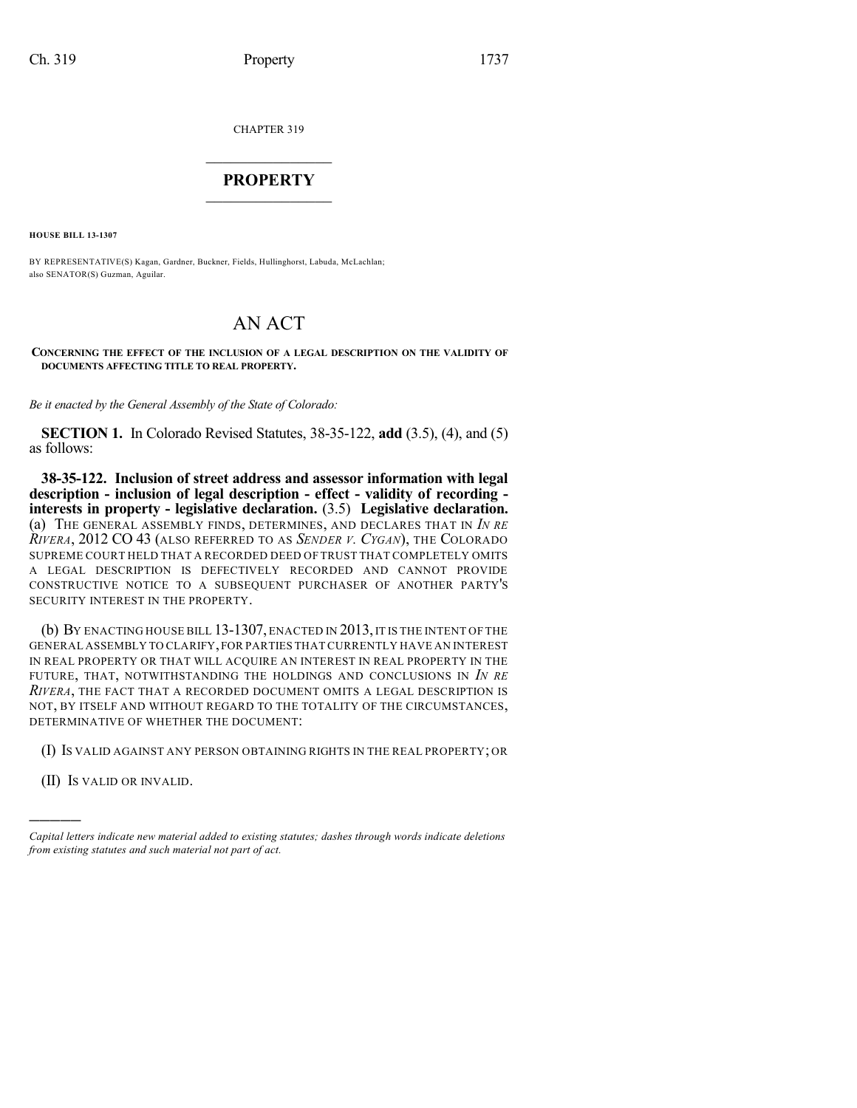CHAPTER 319

## $\overline{\phantom{a}}$  . The set of the set of the set of the set of the set of the set of the set of the set of the set of the set of the set of the set of the set of the set of the set of the set of the set of the set of the set o **PROPERTY**  $\_$   $\_$   $\_$   $\_$   $\_$   $\_$   $\_$   $\_$   $\_$

**HOUSE BILL 13-1307**

BY REPRESENTATIVE(S) Kagan, Gardner, Buckner, Fields, Hullinghorst, Labuda, McLachlan; also SENATOR(S) Guzman, Aguilar.

## AN ACT

## **CONCERNING THE EFFECT OF THE INCLUSION OF A LEGAL DESCRIPTION ON THE VALIDITY OF DOCUMENTS AFFECTING TITLE TO REAL PROPERTY.**

*Be it enacted by the General Assembly of the State of Colorado:*

**SECTION 1.** In Colorado Revised Statutes, 38-35-122, **add** (3.5), (4), and (5) as follows:

**38-35-122. Inclusion of street address and assessor information with legal description - inclusion of legal description - effect - validity of recording interests in property - legislative declaration.** (3.5) **Legislative declaration.** (a) THE GENERAL ASSEMBLY FINDS, DETERMINES, AND DECLARES THAT IN *IN RE RIVERA*, 2012 CO 43 (ALSO REFERRED TO AS *SENDER V. CYGAN*), THE COLORADO SUPREME COURT HELD THAT A RECORDED DEED OF TRUST THAT COMPLETELY OMITS A LEGAL DESCRIPTION IS DEFECTIVELY RECORDED AND CANNOT PROVIDE CONSTRUCTIVE NOTICE TO A SUBSEQUENT PURCHASER OF ANOTHER PARTY'S SECURITY INTEREST IN THE PROPERTY.

(b) BY ENACTING HOUSE BILL 13-1307, ENACTED IN 2013, IT IS THE INTENT OF THE GENERAL ASSEMBLY TO CLARIFY,FOR PARTIES THAT CURRENTLY HAVE AN INTEREST IN REAL PROPERTY OR THAT WILL ACQUIRE AN INTEREST IN REAL PROPERTY IN THE FUTURE, THAT, NOTWITHSTANDING THE HOLDINGS AND CONCLUSIONS IN *IN RE RIVERA*, THE FACT THAT A RECORDED DOCUMENT OMITS A LEGAL DESCRIPTION IS NOT, BY ITSELF AND WITHOUT REGARD TO THE TOTALITY OF THE CIRCUMSTANCES, DETERMINATIVE OF WHETHER THE DOCUMENT:

(I) IS VALID AGAINST ANY PERSON OBTAINING RIGHTS IN THE REAL PROPERTY; OR

(II) IS VALID OR INVALID.

)))))

*Capital letters indicate new material added to existing statutes; dashes through words indicate deletions from existing statutes and such material not part of act.*